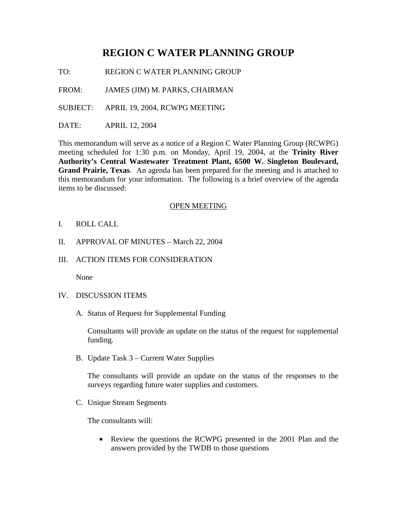## **REGION C WATER PLANNING GROUP**

TO: REGION C WATER PLANNING GROUP

FROM: JAMES (JIM) M. PARKS, CHAIRMAN

SUBJECT: APRIL 19, 2004, RCWPG MEETING

DATE: APRIL 12, 2004

This memorandum will serve as a notice of a Region C Water Planning Group (RCWPG) meeting scheduled for 1:30 p.m. on Monday, April 19, 2004, at the **Trinity River Authority's Central Wastewater Treatment Plant, 6500 W. Singleton Boulevard, Grand Prairie, Texas**. An agenda has been prepared for the meeting and is attached to this memorandum for your information. The following is a brief overview of the agenda items to be discussed:

## OPEN MEETING

- I. ROLL CALL
- II. APPROVAL OF MINUTES March 22, 2004
- III. ACTION ITEMS FOR CONSIDERATION

None

- IV. DISCUSSION ITEMS
	- A. Status of Request for Supplemental Funding

Consultants will provide an update on the status of the request for supplemental funding.

B. Update Task 3 – Current Water Supplies

The consultants will provide an update on the status of the responses to the surveys regarding future water supplies and customers.

C. Unique Stream Segments

The consultants will:

• Review the questions the RCWPG presented in the 2001 Plan and the answers provided by the TWDB to those questions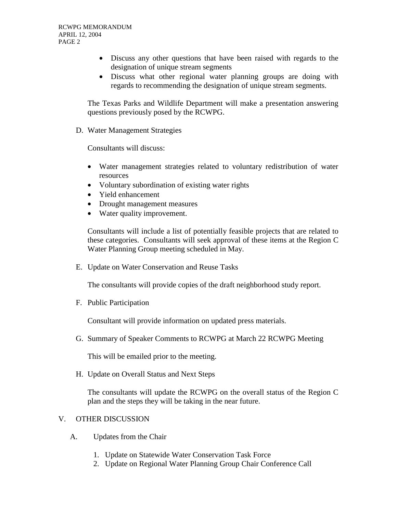- Discuss any other questions that have been raised with regards to the designation of unique stream segments
- Discuss what other regional water planning groups are doing with regards to recommending the designation of unique stream segments.

The Texas Parks and Wildlife Department will make a presentation answering questions previously posed by the RCWPG.

D. Water Management Strategies

Consultants will discuss:

- Water management strategies related to voluntary redistribution of water resources
- Voluntary subordination of existing water rights
- Yield enhancement
- Drought management measures
- Water quality improvement.

Consultants will include a list of potentially feasible projects that are related to these categories. Consultants will seek approval of these items at the Region C Water Planning Group meeting scheduled in May.

E. Update on Water Conservation and Reuse Tasks

The consultants will provide copies of the draft neighborhood study report.

F. Public Participation

Consultant will provide information on updated press materials.

G. Summary of Speaker Comments to RCWPG at March 22 RCWPG Meeting

This will be emailed prior to the meeting.

H. Update on Overall Status and Next Steps

The consultants will update the RCWPG on the overall status of the Region C plan and the steps they will be taking in the near future.

## V. OTHER DISCUSSION

- A. Updates from the Chair
	- 1. Update on Statewide Water Conservation Task Force
	- 2. Update on Regional Water Planning Group Chair Conference Call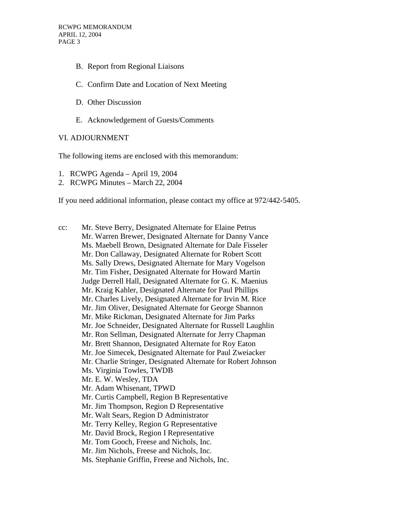- B. Report from Regional Liaisons
- C. Confirm Date and Location of Next Meeting
- D. Other Discussion
- E. Acknowledgement of Guests/Comments

## VI. ADJOURNMENT

The following items are enclosed with this memorandum:

- 1. RCWPG Agenda April 19, 2004
- 2. RCWPG Minutes March 22, 2004

If you need additional information, please contact my office at 972/442-5405.

cc: Mr. Steve Berry, Designated Alternate for Elaine Petrus Mr. Warren Brewer, Designated Alternate for Danny Vance Ms. Maebell Brown, Designated Alternate for Dale Fisseler Mr. Don Callaway, Designated Alternate for Robert Scott Ms. Sally Drews, Designated Alternate for Mary Vogelson Mr. Tim Fisher, Designated Alternate for Howard Martin Judge Derrell Hall, Designated Alternate for G. K. Maenius Mr. Kraig Kahler, Designated Alternate for Paul Phillips Mr. Charles Lively, Designated Alternate for Irvin M. Rice Mr. Jim Oliver, Designated Alternate for George Shannon Mr. Mike Rickman, Designated Alternate for Jim Parks Mr. Joe Schneider, Designated Alternate for Russell Laughlin Mr. Ron Sellman, Designated Alternate for Jerry Chapman Mr. Brett Shannon, Designated Alternate for Roy Eaton Mr. Joe Simecek, Designated Alternate for Paul Zweiacker Mr. Charlie Stringer, Designated Alternate for Robert Johnson Ms. Virginia Towles, TWDB Mr. E. W. Wesley, TDA Mr. Adam Whisenant, TPWD Mr. Curtis Campbell, Region B Representative Mr. Jim Thompson, Region D Representative Mr. Walt Sears, Region D Administrator Mr. Terry Kelley, Region G Representative Mr. David Brock, Region I Representative Mr. Tom Gooch, Freese and Nichols, Inc. Mr. Jim Nichols, Freese and Nichols, Inc. Ms. Stephanie Griffin, Freese and Nichols, Inc.